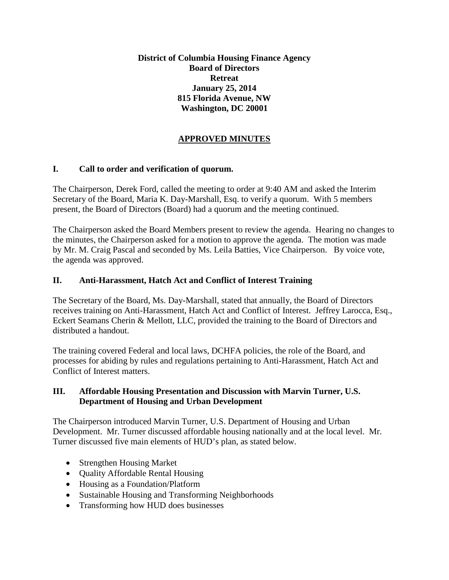**District of Columbia Housing Finance Agency Board of Directors Retreat January 25, 2014 815 Florida Avenue, NW Washington, DC 20001**

# **APPROVED MINUTES**

## **I. Call to order and verification of quorum.**

The Chairperson, Derek Ford, called the meeting to order at 9:40 AM and asked the Interim Secretary of the Board, Maria K. Day-Marshall, Esq. to verify a quorum. With 5 members present, the Board of Directors (Board) had a quorum and the meeting continued.

The Chairperson asked the Board Members present to review the agenda. Hearing no changes to the minutes, the Chairperson asked for a motion to approve the agenda. The motion was made by Mr. M. Craig Pascal and seconded by Ms. Leila Batties, Vice Chairperson. By voice vote, the agenda was approved.

## **II. Anti-Harassment, Hatch Act and Conflict of Interest Training**

The Secretary of the Board, Ms. Day-Marshall, stated that annually, the Board of Directors receives training on Anti-Harassment, Hatch Act and Conflict of Interest. Jeffrey Larocca, Esq., Eckert Seamans Cherin & Mellott, LLC, provided the training to the Board of Directors and distributed a handout.

The training covered Federal and local laws, DCHFA policies, the role of the Board, and processes for abiding by rules and regulations pertaining to Anti-Harassment, Hatch Act and Conflict of Interest matters.

### **III. Affordable Housing Presentation and Discussion with Marvin Turner, U.S. Department of Housing and Urban Development**

The Chairperson introduced Marvin Turner, U.S. Department of Housing and Urban Development. Mr. Turner discussed affordable housing nationally and at the local level. Mr. Turner discussed five main elements of HUD's plan, as stated below.

- Strengthen Housing Market
- Quality Affordable Rental Housing
- Housing as a Foundation/Platform
- Sustainable Housing and Transforming Neighborhoods
- Transforming how HUD does businesses